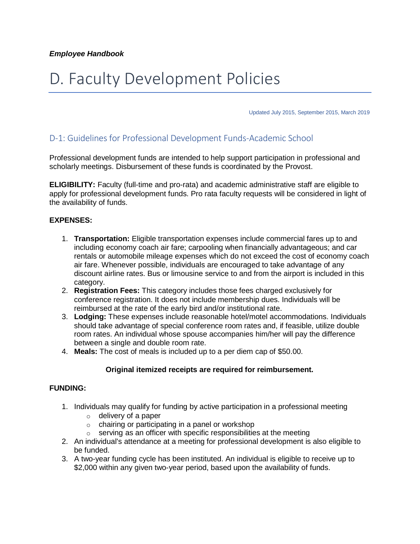# D. Faculty Development Policies

Updated July 2015, September 2015, March 2019

## D-1: Guidelines for Professional Development Funds-Academic School

Professional development funds are intended to help support participation in professional and scholarly meetings. Disbursement of these funds is coordinated by the Provost.

**ELIGIBILITY:** Faculty (full-time and pro-rata) and academic administrative staff are eligible to apply for professional development funds. Pro rata faculty requests will be considered in light of the availability of funds.

#### **EXPENSES:**

- 1. **Transportation:** Eligible transportation expenses include commercial fares up to and including economy coach air fare; carpooling when financially advantageous; and car rentals or automobile mileage expenses which do not exceed the cost of economy coach air fare. Whenever possible, individuals are encouraged to take advantage of any discount airline rates. Bus or limousine service to and from the airport is included in this category.
- 2. **Registration Fees:** This category includes those fees charged exclusively for conference registration. It does not include membership dues. Individuals will be reimbursed at the rate of the early bird and/or institutional rate.
- 3. **Lodging:** These expenses include reasonable hotel/motel accommodations. Individuals should take advantage of special conference room rates and, if feasible, utilize double room rates. An individual whose spouse accompanies him/her will pay the difference between a single and double room rate.
- 4. **Meals:** The cost of meals is included up to a per diem cap of \$50.00.

#### **Original itemized receipts are required for reimbursement.**

#### **FUNDING:**

- 1. Individuals may qualify for funding by active participation in a professional meeting
	- o delivery of a paper
	- $\circ$  chairing or participating in a panel or workshop
	- $\circ$  serving as an officer with specific responsibilities at the meeting
- 2. An individual's attendance at a meeting for professional development is also eligible to be funded.
- 3. A two-year funding cycle has been instituted. An individual is eligible to receive up to \$2,000 within any given two-year period, based upon the availability of funds.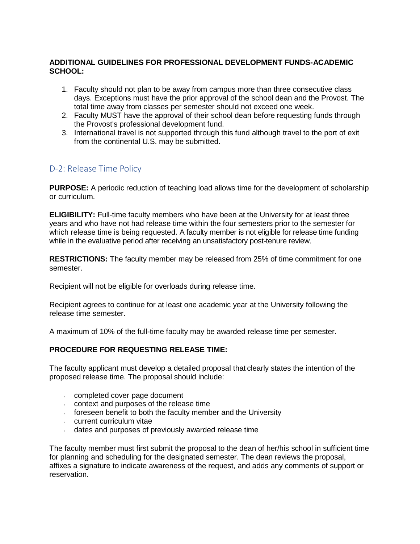#### **ADDITIONAL GUIDELINES FOR PROFESSIONAL DEVELOPMENT FUNDS-ACADEMIC SCHOOL:**

- 1. Faculty should not plan to be away from campus more than three consecutive class days. Exceptions must have the prior approval of the school dean and the Provost. The total time away from classes per semester should not exceed one week.
- 2. Faculty MUST have the approval of their school dean before requesting funds through the Provost's professional development fund.
- 3. International travel is not supported through this fund although travel to the port of exit from the continental U.S. may be submitted.

### D-2: Release Time Policy

**PURPOSE:** A periodic reduction of teaching load allows time for the development of scholarship or curriculum.

**ELIGIBILITY:** Full-time faculty members who have been at the University for at least three years and who have not had release time within the four semesters prior to the semester for which release time is being requested. A faculty member is not eligible for release time funding while in the evaluative period after receiving an unsatisfactory post-tenure review.

**RESTRICTIONS:** The faculty member may be released from 25% of time commitment for one semester.

Recipient will not be eligible for overloads during release time.

Recipient agrees to continue for at least one academic year at the University following the release time semester.

A maximum of 10% of the full-time faculty may be awarded release time per semester.

#### **PROCEDURE FOR REQUESTING RELEASE TIME:**

The faculty applicant must develop a detailed proposal that clearly states the intention of the proposed release time. The proposal should include:

- completed cover page document
- context and purposes of the release time
- foreseen benefit to both the faculty member and the University
- current curriculum vitae
- dates and purposes of previously awarded release time

The faculty member must first submit the proposal to the dean of her/his school in sufficient time for planning and scheduling for the designated semester. The dean reviews the proposal, affixes a signature to indicate awareness of the request, and adds any comments of support or reservation.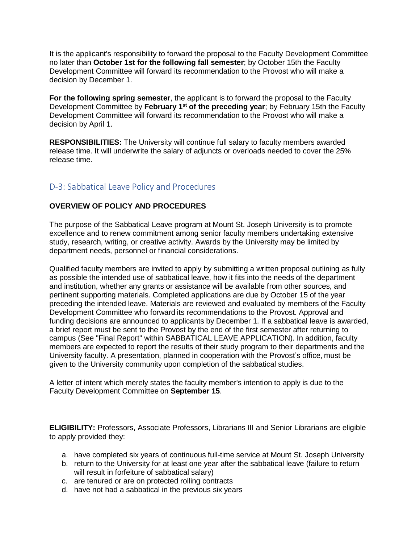It is the applicant's responsibility to forward the proposal to the Faculty Development Committee no later than **October 1st for the following fall semester**; by October 15th the Faculty Development Committee will forward its recommendation to the Provost who will make a decision by December 1.

**For the following spring semester**, the applicant is to forward the proposal to the Faculty Development Committee by February 1<sup>st</sup> of the preceding year; by February 15th the Faculty Development Committee will forward its recommendation to the Provost who will make a decision by April 1.

**RESPONSIBILITIES:** The University will continue full salary to faculty members awarded release time. It will underwrite the salary of adjuncts or overloads needed to cover the 25% release time.

## D-3: Sabbatical Leave Policy and Procedures

#### **OVERVIEW OF POLICY AND PROCEDURES**

The purpose of the Sabbatical Leave program at Mount St. Joseph University is to promote excellence and to renew commitment among senior faculty members undertaking extensive study, research, writing, or creative activity. Awards by the University may be limited by department needs, personnel or financial considerations.

Qualified faculty members are invited to apply by submitting a written proposal outlining as fully as possible the intended use of sabbatical leave, how it fits into the needs of the department and institution, whether any grants or assistance will be available from other sources, and pertinent supporting materials. Completed applications are due by October 15 of the year preceding the intended leave. Materials are reviewed and evaluated by members of the Faculty Development Committee who forward its recommendations to the Provost. Approval and funding decisions are announced to applicants by December 1. If a sabbatical leave is awarded, a brief report must be sent to the Provost by the end of the first semester after returning to campus (See "Final Report" within SABBATICAL LEAVE APPLICATION). In addition, faculty members are expected to report the results of their study program to their departments and the University faculty. A presentation, planned in cooperation with the Provost's office, must be given to the University community upon completion of the sabbatical studies.

A letter of intent which merely states the faculty member's intention to apply is due to the Faculty Development Committee on **September 15**.

**ELIGIBILITY:** Professors, Associate Professors, Librarians III and Senior Librarians are eligible to apply provided they:

- a. have completed six years of continuous full-time service at Mount St. Joseph University
- b. return to the University for at least one year after the sabbatical leave (failure to return will result in forfeiture of sabbatical salary)
- c. are tenured or are on protected rolling contracts
- d. have not had a sabbatical in the previous six years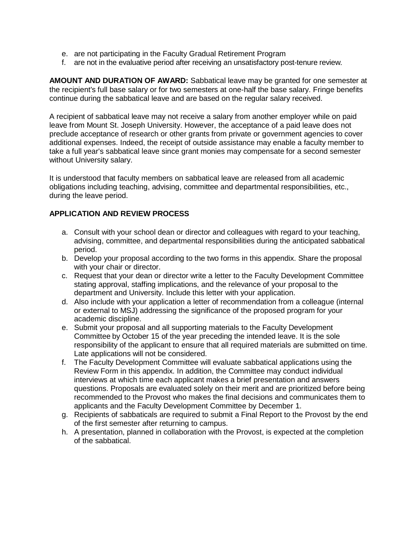- e. are not participating in the Faculty Gradual Retirement Program
- f. are not in the evaluative period after receiving an unsatisfactory post-tenure review.

**AMOUNT AND DURATION OF AWARD:** Sabbatical leave may be granted for one semester at the recipient's full base salary or for two semesters at one-half the base salary. Fringe benefits continue during the sabbatical leave and are based on the regular salary received.

A recipient of sabbatical leave may not receive a salary from another employer while on paid leave from Mount St. Joseph University. However, the acceptance of a paid leave does not preclude acceptance of research or other grants from private or government agencies to cover additional expenses. Indeed, the receipt of outside assistance may enable a faculty member to take a full year's sabbatical leave since grant monies may compensate for a second semester without University salary.

It is understood that faculty members on sabbatical leave are released from all academic obligations including teaching, advising, committee and departmental responsibilities, etc., during the leave period.

#### **APPLICATION AND REVIEW PROCESS**

- a. Consult with your school dean or director and colleagues with regard to your teaching, advising, committee, and departmental responsibilities during the anticipated sabbatical period.
- b. Develop your proposal according to the two forms in this appendix. Share the proposal with your chair or director.
- c. Request that your dean or director write a letter to the Faculty Development Committee stating approval, staffing implications, and the relevance of your proposal to the department and University. Include this letter with your application.
- d. Also include with your application a letter of recommendation from a colleague (internal or external to MSJ) addressing the significance of the proposed program for your academic discipline.
- e. Submit your proposal and all supporting materials to the Faculty Development Committee by October 15 of the year preceding the intended leave. It is the sole responsibility of the applicant to ensure that all required materials are submitted on time. Late applications will not be considered.
- f. The Faculty Development Committee will evaluate sabbatical applications using the Review Form in this appendix. In addition, the Committee may conduct individual interviews at which time each applicant makes a brief presentation and answers questions. Proposals are evaluated solely on their merit and are prioritized before being recommended to the Provost who makes the final decisions and communicates them to applicants and the Faculty Development Committee by December 1.
- g. Recipients of sabbaticals are required to submit a Final Report to the Provost by the end of the first semester after returning to campus.
- h. A presentation, planned in collaboration with the Provost, is expected at the completion of the sabbatical.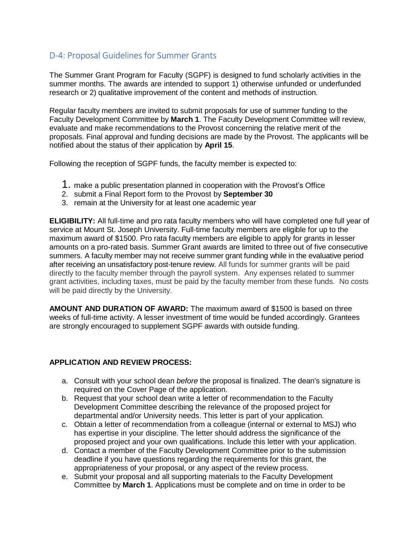# D-4: Proposal Guidelines for Summer Grants

The Summer Grant Program for Faculty (SGPF) is designed to fund scholarly activities in the summer months. The awards are intended to support 1) otherwise unfunded or underfunded research or 2) qualitative improvement of the content and methods of instruction.

Regular faculty members are invited to submit proposals for use of summer funding to the Faculty Development Committee by **March 1**. The Faculty Development Committee will review, evaluate and make recommendations to the Provost concerning the relative merit of the proposals. Final approval and funding decisions are made by the Provost. The applicants will be notified about the status of their application by **April 15**.

Following the reception of SGPF funds, the faculty member is expected to:

- 1. make a public presentation planned in cooperation with the Provost's Office
- 2. submit a Final Report form to the Provost by **September 30**
- 3. remain at the University for at least one academic year

**ELIGIBILITY:** All full-time and pro rata faculty members who will have completed one full year of service at Mount St. Joseph University. Full-time faculty members are eligible for up to the maximum award of \$1500. Pro rata faculty members are eligible to apply for grants in lesser amounts on a pro-rated basis. Summer Grant awards are limited to three out of five consecutive summers. A faculty member may not receive summer grant funding while in the evaluative period after receiving an unsatisfactory post-tenure review. All funds for summer grants will be paid directly to the faculty member through the payroll system. Any expenses related to summer grant activities, including taxes, must be paid by the faculty member from these funds. No costs will be paid directly by the University.

**AMOUNT AND DURATION OF AWARD:** The maximum award of \$1500 is based on three weeks of full-time activity. A lesser investment of time would be funded accordingly. Grantees are strongly encouraged to supplement SGPF awards with outside funding.

#### **APPLICATION AND REVIEW PROCESS:**

- a. Consult with your school dean *before* the proposal is finalized. The dean's signature is required on the Cover Page of the application.
- b. Request that your school dean write a letter of recommendation to the Faculty Development Committee describing the relevance of the proposed project for departmental and/or University needs. This letter is part of your application.
- c. Obtain a letter of recommendation from a colleague (internal or external to MSJ) who has expertise in your discipline. The letter should address the significance of the proposed project and your own qualifications. Include this letter with your application.
- d. Contact a member of the Faculty Development Committee prior to the submission deadline if you have questions regarding the requirements for this grant, the appropriateness of your proposal, or any aspect of the review process.
- e. Submit your proposal and all supporting materials to the Faculty Development Committee by **March 1**. Applications must be complete and on time in order to be